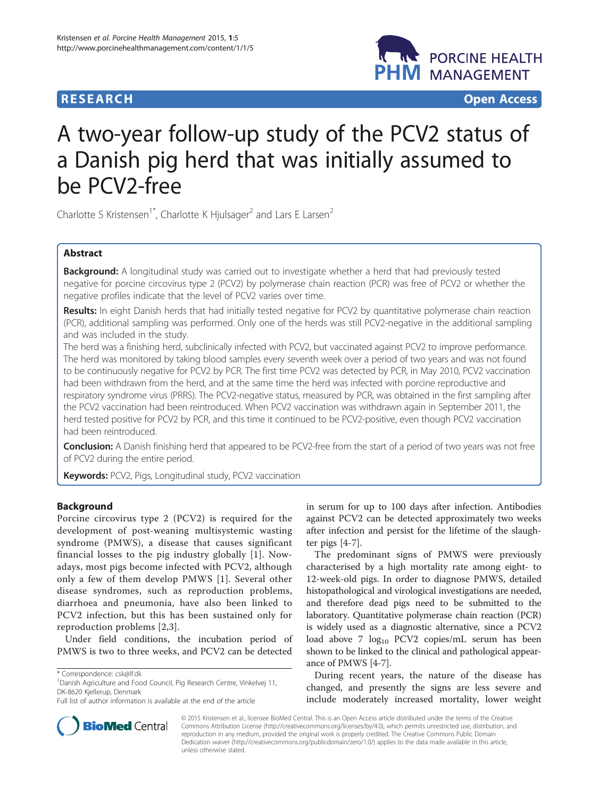# **RESEARCH RESEARCH** *CHECK CHECK CHECK CHECK CHECK CHECK CHECK CHECK CHECK CHECK CHECK CHECK CHECK CHECK CHECK CHECK CHECK CHECK CHECK CHECK CHECK CHECK CHECK CHECK CHECK CHECK CHECK CHECK CHECK CHECK CHECK CHECK CHECK*



# A two-year follow-up study of the PCV2 status of a Danish pig herd that was initially assumed to be PCV2-free

Charlotte S Kristensen<sup>1\*</sup>, Charlotte K Hjulsager<sup>2</sup> and Lars E Larsen<sup>2</sup>

# Abstract

Background: A longitudinal study was carried out to investigate whether a herd that had previously tested negative for porcine circovirus type 2 (PCV2) by polymerase chain reaction (PCR) was free of PCV2 or whether the negative profiles indicate that the level of PCV2 varies over time.

Results: In eight Danish herds that had initially tested negative for PCV2 by quantitative polymerase chain reaction (PCR), additional sampling was performed. Only one of the herds was still PCV2-negative in the additional sampling and was included in the study.

The herd was a finishing herd, subclinically infected with PCV2, but vaccinated against PCV2 to improve performance. The herd was monitored by taking blood samples every seventh week over a period of two years and was not found to be continuously negative for PCV2 by PCR. The first time PCV2 was detected by PCR, in May 2010, PCV2 vaccination had been withdrawn from the herd, and at the same time the herd was infected with porcine reproductive and respiratory syndrome virus (PRRS). The PCV2-negative status, measured by PCR, was obtained in the first sampling after the PCV2 vaccination had been reintroduced. When PCV2 vaccination was withdrawn again in September 2011, the herd tested positive for PCV2 by PCR, and this time it continued to be PCV2-positive, even though PCV2 vaccination had been reintroduced.

**Conclusion:** A Danish finishing herd that appeared to be PCV2-free from the start of a period of two years was not free of PCV2 during the entire period.

Keywords: PCV2, Pigs, Longitudinal study, PCV2 vaccination

# Background

Porcine circovirus type 2 (PCV2) is required for the development of post-weaning multisystemic wasting syndrome (PMWS), a disease that causes significant financial losses to the pig industry globally [\[1](#page-3-0)]. Nowadays, most pigs become infected with PCV2, although only a few of them develop PMWS [[1\]](#page-3-0). Several other disease syndromes, such as reproduction problems, diarrhoea and pneumonia, have also been linked to PCV2 infection, but this has been sustained only for reproduction problems [\[2,3](#page-3-0)].

Under field conditions, the incubation period of PMWS is two to three weeks, and PCV2 can be detected



The predominant signs of PMWS were previously characterised by a high mortality rate among eight- to 12-week-old pigs. In order to diagnose PMWS, detailed histopathological and virological investigations are needed, and therefore dead pigs need to be submitted to the laboratory. Quantitative polymerase chain reaction (PCR) is widely used as a diagnostic alternative, since a PCV2 load above 7 log<sub>10</sub> PCV2 copies/mL serum has been shown to be linked to the clinical and pathological appearance of PMWS [[4](#page-3-0)[-7](#page-4-0)].

During recent years, the nature of the disease has changed, and presently the signs are less severe and include moderately increased mortality, lower weight



© 2015 Kristensen et al.; licensee BioMed Central. This is an Open Access article distributed under the terms of the Creative Commons Attribution License [\(http://creativecommons.org/licenses/by/4.0\)](http://creativecommons.org/licenses/by/4.0), which permits unrestricted use, distribution, and reproduction in any medium, provided the original work is properly credited. The Creative Commons Public Domain Dedication waiver [\(http://creativecommons.org/publicdomain/zero/1.0/](http://creativecommons.org/publicdomain/zero/1.0/)) applies to the data made available in this article, unless otherwise stated.

<sup>\*</sup> Correspondence: [csk@lf.dk](mailto:csk@lf.dk) <sup>1</sup>

<sup>&</sup>lt;sup>1</sup>Danish Agriculture and Food Council, Pig Research Centre, Vinkelvej 11, DK-8620 Kjellerup, Denmark

Full list of author information is available at the end of the article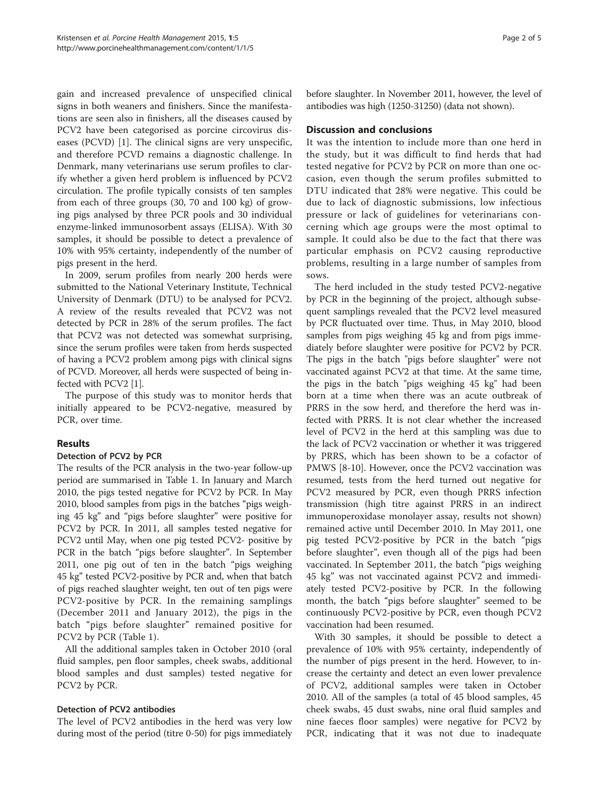gain and increased prevalence of unspecified clinical signs in both weaners and finishers. Since the manifestations are seen also in finishers, all the diseases caused by PCV2 have been categorised as porcine circovirus diseases (PCVD) [[1\]](#page-3-0). The clinical signs are very unspecific, and therefore PCVD remains a diagnostic challenge. In Denmark, many veterinarians use serum profiles to clarify whether a given herd problem is influenced by PCV2 circulation. The profile typically consists of ten samples from each of three groups (30, 70 and 100 kg) of growing pigs analysed by three PCR pools and 30 individual enzyme-linked immunosorbent assays (ELISA). With 30 samples, it should be possible to detect a prevalence of 10% with 95% certainty, independently of the number of pigs present in the herd.

In 2009, serum profiles from nearly 200 herds were submitted to the National Veterinary Institute, Technical University of Denmark (DTU) to be analysed for PCV2. A review of the results revealed that PCV2 was not detected by PCR in 28% of the serum profiles. The fact that PCV2 was not detected was somewhat surprising, since the serum profiles were taken from herds suspected of having a PCV2 problem among pigs with clinical signs of PCVD. Moreover, all herds were suspected of being infected with PCV2 [\[1](#page-3-0)].

The purpose of this study was to monitor herds that initially appeared to be PCV2-negative, measured by PCR, over time.

# Results

# Detection of PCV2 by PCR

The results of the PCR analysis in the two-year follow-up period are summarised in Table [1.](#page-2-0) In January and March 2010, the pigs tested negative for PCV2 by PCR. In May 2010, blood samples from pigs in the batches "pigs weighing 45 kg" and "pigs before slaughter" were positive for PCV2 by PCR. In 2011, all samples tested negative for PCV2 until May, when one pig tested PCV2- positive by PCR in the batch "pigs before slaughter". In September 2011, one pig out of ten in the batch "pigs weighing 45 kg" tested PCV2-positive by PCR and, when that batch of pigs reached slaughter weight, ten out of ten pigs were PCV2-positive by PCR. In the remaining samplings (December 2011 and January 2012), the pigs in the batch "pigs before slaughter" remained positive for PCV2 by PCR (Table [1\)](#page-2-0).

All the additional samples taken in October 2010 (oral fluid samples, pen floor samples, cheek swabs, additional blood samples and dust samples) tested negative for PCV2 by PCR.

# Detection of PCV2 antibodies

The level of PCV2 antibodies in the herd was very low during most of the period (titre 0-50) for pigs immediately before slaughter. In November 2011, however, the level of antibodies was high (1250-31250) (data not shown).

# Discussion and conclusions

It was the intention to include more than one herd in the study, but it was difficult to find herds that had tested negative for PCV2 by PCR on more than one occasion, even though the serum profiles submitted to DTU indicated that 28% were negative. This could be due to lack of diagnostic submissions, low infectious pressure or lack of guidelines for veterinarians concerning which age groups were the most optimal to sample. It could also be due to the fact that there was particular emphasis on PCV2 causing reproductive problems, resulting in a large number of samples from sows.

The herd included in the study tested PCV2-negative by PCR in the beginning of the project, although subsequent samplings revealed that the PCV2 level measured by PCR fluctuated over time. Thus, in May 2010, blood samples from pigs weighing 45 kg and from pigs immediately before slaughter were positive for PCV2 by PCR. The pigs in the batch "pigs before slaughter" were not vaccinated against PCV2 at that time. At the same time, the pigs in the batch "pigs weighing 45 kg" had been born at a time when there was an acute outbreak of PRRS in the sow herd, and therefore the herd was infected with PRRS. It is not clear whether the increased level of PCV2 in the herd at this sampling was due to the lack of PCV2 vaccination or whether it was triggered by PRRS, which has been shown to be a cofactor of PMWS [\[8](#page-4-0)-[10\]](#page-4-0). However, once the PCV2 vaccination was resumed, tests from the herd turned out negative for PCV2 measured by PCR, even though PRRS infection transmission (high titre against PRRS in an indirect immunoperoxidase monolayer assay, results not shown) remained active until December 2010. In May 2011, one pig tested PCV2-positive by PCR in the batch "pigs before slaughter", even though all of the pigs had been vaccinated. In September 2011, the batch "pigs weighing 45 kg" was not vaccinated against PCV2 and immediately tested PCV2-positive by PCR. In the following month, the batch "pigs before slaughter" seemed to be continuously PCV2-positive by PCR, even though PCV2 vaccination had been resumed.

With 30 samples, it should be possible to detect a prevalence of 10% with 95% certainty, independently of the number of pigs present in the herd. However, to increase the certainty and detect an even lower prevalence of PCV2, additional samples were taken in October 2010. All of the samples (a total of 45 blood samples, 45 cheek swabs, 45 dust swabs, nine oral fluid samples and nine faeces floor samples) were negative for PCV2 by PCR, indicating that it was not due to inadequate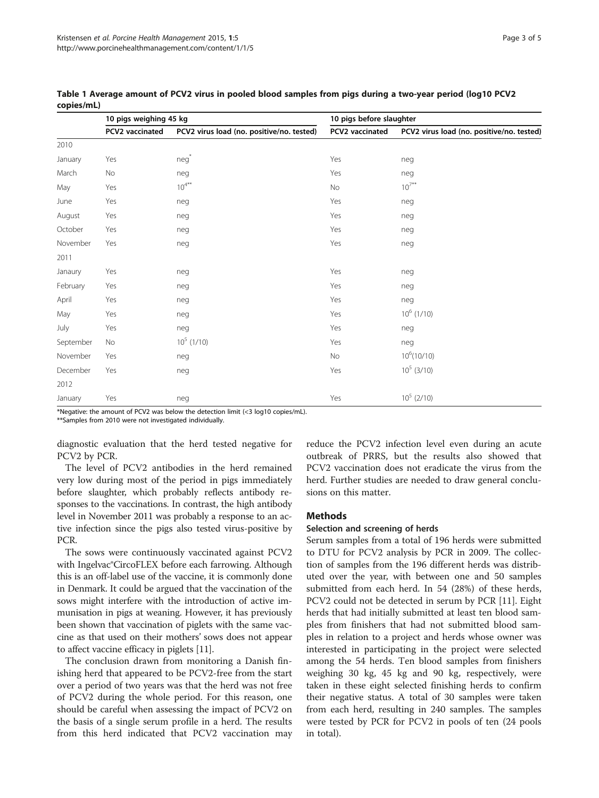|           | 10 pigs weighing 45 kg |                                           | 10 pigs before slaughter |                                           |
|-----------|------------------------|-------------------------------------------|--------------------------|-------------------------------------------|
|           | PCV2 vaccinated        | PCV2 virus load (no. positive/no. tested) | PCV2 vaccinated          | PCV2 virus load (no. positive/no. tested) |
| 2010      |                        |                                           |                          |                                           |
| January   | Yes                    | $neg^*$                                   | Yes                      | neg                                       |
| March     | No                     | neg                                       | Yes                      | neg                                       |
| May       | Yes                    | $10^{4**}$                                | No                       | $10^{7**}$                                |
| June      | Yes                    | neg                                       | Yes                      | neg                                       |
| August    | Yes                    | neg                                       | Yes                      | neg                                       |
| October   | Yes                    | neg                                       | Yes                      | neg                                       |
| November  | Yes                    | neg                                       | Yes                      | neg                                       |
| 2011      |                        |                                           |                          |                                           |
| Janaury   | Yes                    | neg                                       | Yes                      | neg                                       |
| February  | Yes                    | neg                                       | Yes                      | neg                                       |
| April     | Yes                    | neg                                       | Yes                      | neg                                       |
| May       | Yes                    | neg                                       | Yes                      | $10^6$ (1/10)                             |
| July      | Yes                    | neg                                       | Yes                      | neg                                       |
| September | No                     | $10^5$ (1/10)                             | Yes                      | neg                                       |
| November  | Yes                    | neg                                       | No                       | $10^6(10/10)$                             |
| December  | Yes                    | neg                                       | Yes                      | $10^5$ (3/10)                             |
| 2012      |                        |                                           |                          |                                           |
| January   | Yes                    | neg                                       | Yes                      | $10^5$ (2/10)                             |

<span id="page-2-0"></span>Table 1 Average amount of PCV2 virus in pooled blood samples from pigs during a two-year period (log10 PCV2 copies/mL)

\*Negative: the amount of PCV2 was below the detection limit (<3 log10 copies/mL).

\*\*Samples from 2010 were not investigated individually.

diagnostic evaluation that the herd tested negative for PCV2 by PCR.

The level of PCV2 antibodies in the herd remained very low during most of the period in pigs immediately before slaughter, which probably reflects antibody responses to the vaccinations. In contrast, the high antibody level in November 2011 was probably a response to an active infection since the pigs also tested virus-positive by PCR.

The sows were continuously vaccinated against PCV2 with Ingelvac®CircoFLEX before each farrowing. Although this is an off-label use of the vaccine, it is commonly done in Denmark. It could be argued that the vaccination of the sows might interfere with the introduction of active immunisation in pigs at weaning. However, it has previously been shown that vaccination of piglets with the same vaccine as that used on their mothers' sows does not appear to affect vaccine efficacy in piglets [\[11\]](#page-4-0).

The conclusion drawn from monitoring a Danish finishing herd that appeared to be PCV2-free from the start over a period of two years was that the herd was not free of PCV2 during the whole period. For this reason, one should be careful when assessing the impact of PCV2 on the basis of a single serum profile in a herd. The results from this herd indicated that PCV2 vaccination may reduce the PCV2 infection level even during an acute outbreak of PRRS, but the results also showed that PCV2 vaccination does not eradicate the virus from the herd. Further studies are needed to draw general conclusions on this matter.

#### **Methods**

#### Selection and screening of herds

Serum samples from a total of 196 herds were submitted to DTU for PCV2 analysis by PCR in 2009. The collection of samples from the 196 different herds was distributed over the year, with between one and 50 samples submitted from each herd. In 54 (28%) of these herds, PCV2 could not be detected in serum by PCR [\[11](#page-4-0)]. Eight herds that had initially submitted at least ten blood samples from finishers that had not submitted blood samples in relation to a project and herds whose owner was interested in participating in the project were selected among the 54 herds. Ten blood samples from finishers weighing 30 kg, 45 kg and 90 kg, respectively, were taken in these eight selected finishing herds to confirm their negative status. A total of 30 samples were taken from each herd, resulting in 240 samples. The samples were tested by PCR for PCV2 in pools of ten (24 pools in total).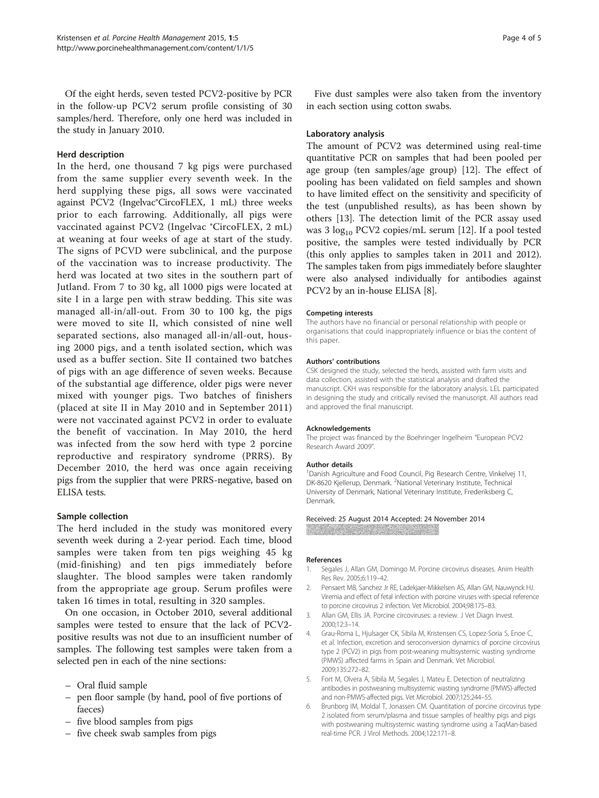<span id="page-3-0"></span>Of the eight herds, seven tested PCV2-positive by PCR in the follow-up PCV2 serum profile consisting of 30 samples/herd. Therefore, only one herd was included in the study in January 2010.

#### Herd description

In the herd, one thousand 7 kg pigs were purchased from the same supplier every seventh week. In the herd supplying these pigs, all sows were vaccinated against PCV2 (Ingelvac®CircoFLEX, 1 mL) three weeks prior to each farrowing. Additionally, all pigs were vaccinated against PCV2 (Ingelvac ®CircoFLEX, 2 mL) at weaning at four weeks of age at start of the study. The signs of PCVD were subclinical, and the purpose of the vaccination was to increase productivity. The herd was located at two sites in the southern part of Jutland. From 7 to 30 kg, all 1000 pigs were located at site I in a large pen with straw bedding. This site was managed all-in/all-out. From 30 to 100 kg, the pigs were moved to site II, which consisted of nine well separated sections, also managed all-in/all-out, housing 2000 pigs, and a tenth isolated section, which was used as a buffer section. Site II contained two batches of pigs with an age difference of seven weeks. Because of the substantial age difference, older pigs were never mixed with younger pigs. Two batches of finishers (placed at site II in May 2010 and in September 2011) were not vaccinated against PCV2 in order to evaluate the benefit of vaccination. In May 2010, the herd was infected from the sow herd with type 2 porcine reproductive and respiratory syndrome (PRRS). By December 2010, the herd was once again receiving pigs from the supplier that were PRRS-negative, based on ELISA tests.

# Sample collection

The herd included in the study was monitored every seventh week during a 2-year period. Each time, blood samples were taken from ten pigs weighing 45 kg (mid-finishing) and ten pigs immediately before slaughter. The blood samples were taken randomly from the appropriate age group. Serum profiles were taken 16 times in total, resulting in 320 samples.

On one occasion, in October 2010, several additional samples were tested to ensure that the lack of PCV2 positive results was not due to an insufficient number of samples. The following test samples were taken from a selected pen in each of the nine sections:

- Oral fluid sample
- pen floor sample (by hand, pool of five portions of faeces)
- five blood samples from pigs
- five cheek swab samples from pigs

Five dust samples were also taken from the inventory in each section using cotton swabs.

#### Laboratory analysis

The amount of PCV2 was determined using real-time quantitative PCR on samples that had been pooled per age group (ten samples/age group) [[12](#page-4-0)]. The effect of pooling has been validated on field samples and shown to have limited effect on the sensitivity and specificity of the test (unpublished results), as has been shown by others [[13](#page-4-0)]. The detection limit of the PCR assay used was 3  $log_{10}$  PCV2 copies/mL serum [[12](#page-4-0)]. If a pool tested positive, the samples were tested individually by PCR (this only applies to samples taken in 2011 and 2012). The samples taken from pigs immediately before slaughter were also analysed individually for antibodies against PCV2 by an in-house ELISA [\[8](#page-4-0)].

#### Competing interests

The authors have no financial or personal relationship with people or organisations that could inappropriately influence or bias the content of this paper.

#### Authors' contributions

CSK designed the study, selected the herds, assisted with farm visits and data collection, assisted with the statistical analysis and drafted the manuscript. CKH was responsible for the laboratory analysis. LEL participated in designing the study and critically revised the manuscript. All authors read and approved the final manuscript.

#### Acknowledgements

The project was financed by the Boehringer Ingelheim "European PCV2 Research Award 2009".

#### Author details

<sup>1</sup> Danish Agriculture and Food Council, Pig Research Centre, Vinkelvej 11, DK-8620 Kjellerup, Denmark. <sup>2</sup>National Veterinary Institute, Technical University of Denmark, National Veterinary Institute, Frederiksberg C, Denmark.

Received: 25 August 2014 Accepted: 24 November 2014 

#### References

- 1. Segales J, Allan GM, Domingo M. Porcine circovirus diseases. Anim Health Res Rev. 2005;6:119–42.
- 2. Pensaert MB, Sanchez Jr RE, Ladekjaer-Mikkelsen AS, Allan GM, Nauwynck HJ. Viremia and effect of fetal infection with porcine viruses with special reference to porcine circovirus 2 infection. Vet Microbiol. 2004;98:175–83.
- 3. Allan GM, Ellis JA. Porcine circoviruses: a review. J Vet Diagn Invest. 2000;12:3–14.
- 4. Grau-Roma L, Hjulsager CK, Sibila M, Kristensen CS, Lopez-Soria S, Enoe C, et al. Infection, excretion and seroconversion dynamics of porcine circovirus type 2 (PCV2) in pigs from post-weaning multisystemic wasting syndrome (PMWS) affected farms in Spain and Denmark. Vet Microbiol. 2009;135:272–82.
- 5. Fort M, Olvera A, Sibila M, Segales J, Mateu E. Detection of neutralizing antibodies in postweaning multisystemic wasting syndrome (PMWS)-affected and non-PMWS-affected pigs. Vet Microbiol. 2007;125:244–55.
- 6. Brunborg IM, Moldal T, Jonassen CM. Quantitation of porcine circovirus type 2 isolated from serum/plasma and tissue samples of healthy pigs and pigs with postweaning multisystemic wasting syndrome using a TaqMan-based real-time PCR. J Virol Methods. 2004;122:171–8.